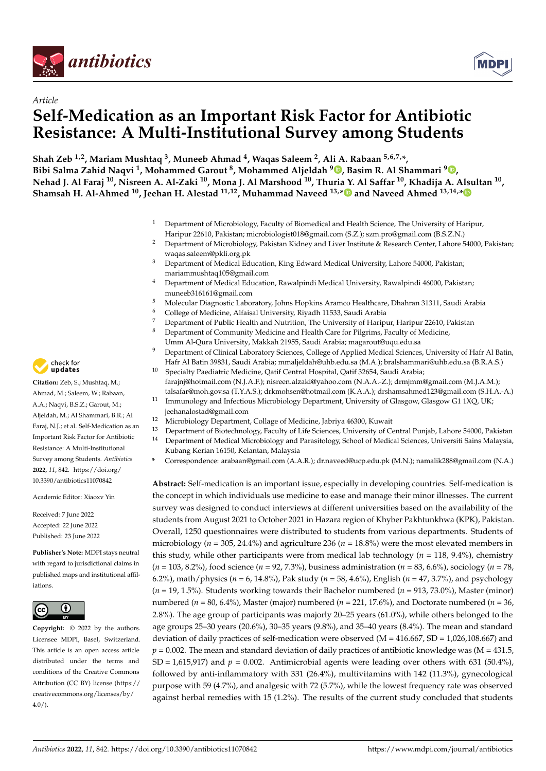



# *Article* **Self-Medication as an Important Risk Factor for Antibiotic Resistance: A Multi-Institutional Survey among Students**

**Shah Zeb 1,2, Mariam Mushtaq <sup>3</sup> , Muneeb Ahmad <sup>4</sup> , Waqas Saleem <sup>2</sup> , Ali A. Rabaan 5,6,7,\*, Bibi Salma Zahid Naqvi <sup>1</sup> , Mohammed Garout <sup>8</sup> , Mohammed Aljeldah <sup>9</sup> [,](https://orcid.org/0000-0001-5335-2809) Basim R. Al Shammari [9](https://orcid.org/0000-0002-3522-0607) , Nehad J. Al Faraj <sup>10</sup>, Nisreen A. Al-Zaki <sup>10</sup>, Mona J. Al Marshood <sup>10</sup>, Thuria Y. Al Saffar <sup>10</sup>, Khadija A. Alsultan <sup>10</sup> , Shamsah H. Al-Ahmed <sup>10</sup>, Jeehan H. Alestad 11,12, Muhammad Naveed 13,[\\*](https://orcid.org/0000-0002-4333-8226) and Naveed Ahmed 13,14,[\\*](https://orcid.org/0000-0003-1504-1705)**

- <sup>1</sup> Department of Microbiology, Faculty of Biomedical and Health Science, The University of Haripur, Haripur 22610, Pakistan; microbiologist018@gmail.com (S.Z.); szm.pro@gmail.com (B.S.Z.N.)
- <sup>2</sup> Department of Microbiology, Pakistan Kidney and Liver Institute & Research Center, Lahore 54000, Pakistan; waqas.saleem@pkli.org.pk
- <sup>3</sup> Department of Medical Education, King Edward Medical University, Lahore 54000, Pakistan; mariammushtaq105@gmail.com
- <sup>4</sup> Department of Medical Education, Rawalpindi Medical University, Rawalpindi 46000, Pakistan; muneeb316161@gmail.com
- <sup>5</sup> Molecular Diagnostic Laboratory, Johns Hopkins Aramco Healthcare, Dhahran 31311, Saudi Arabia
- <sup>6</sup> College of Medicine, Alfaisal University, Riyadh 11533, Saudi Arabia
- <sup>7</sup> Department of Public Health and Nutrition, The University of Haripur, Haripur 22610, Pakistan  $\frac{8}{10}$
- <sup>8</sup> Department of Community Medicine and Health Care for Pilgrims, Faculty of Medicine,
- Umm Al-Qura University, Makkah 21955, Saudi Arabia; magarout@uqu.edu.sa <sup>9</sup> Department of Clinical Laboratory Sciences, College of Applied Medical Sciences, University of Hafr Al Batin,
- Hafr Al Batin 39831, Saudi Arabia; mmaljeldah@uhb.edu.sa (M.A.); bralshammari@uhb.edu.sa (B.R.A.S.) <sup>10</sup> Specialty Paediatric Medicine, Qatif Central Hospital, Qatif 32654, Saudi Arabia;
- farajnj@hotmail.com (N.J.A.F.); nisreen.alzaki@yahoo.com (N.A.A.-Z.); drmjmm@gmail.com (M.J.A.M.); talsafar@moh.gov.sa (T.Y.A.S.); drkmohsen@hotmail.com (K.A.A.); drshamsahmed123@gmail.com (S.H.A.-A.)
- <sup>11</sup> Immunology and Infectious Microbiology Department, University of Glasgow, Glasgow G1 1XQ, UK; jeehanalostad@gmail.com
- <sup>12</sup> Microbiology Department, Collage of Medicine, Jabriya 46300, Kuwait<br><sup>13</sup> Department of Biotechnology Faculty of Life Sciences, University of Co
- <sup>13</sup> Department of Biotechnology, Faculty of Life Sciences, University of Central Punjab, Lahore 54000, Pakistan
- <sup>14</sup> Department of Medical Microbiology and Parasitology, School of Medical Sciences, Universiti Sains Malaysia, Kubang Kerian 16150, Kelantan, Malaysia
- **\*** Correspondence: arabaan@gmail.com (A.A.R.); dr.naveed@ucp.edu.pk (M.N.); namalik288@gmail.com (N.A.)

**Abstract:** Self-medication is an important issue, especially in developing countries. Self-medication is the concept in which individuals use medicine to ease and manage their minor illnesses. The current survey was designed to conduct interviews at different universities based on the availability of the students from August 2021 to October 2021 in Hazara region of Khyber Pakhtunkhwa (KPK), Pakistan. Overall, 1250 questionnaires were distributed to students from various departments. Students of microbiology ( $n = 305$ , 24.4%) and agriculture 236 ( $n = 18.8\%$ ) were the most elevated members in this study, while other participants were from medical lab technology  $(n = 118, 9.4\%)$ , chemistry (*n* = 103, 8.2%), food science (*n* = 92, 7.3%), business administration (*n* = 83, 6.6%), sociology (*n* = 78, 6.2%), math/physics (*n* = 6, 14.8%), Pak study (*n* = 58, 4.6%), English (*n* = 47, 3.7%), and psychology (*n* = 19, 1.5%). Students working towards their Bachelor numbered (*n* = 913, 73.0%), Master (minor) numbered (*n* = 80, 6.4%), Master (major) numbered (*n* = 221, 17.6%), and Doctorate numbered (*n* = 36, 2.8%). The age group of participants was majorly 20–25 years (61.0%), while others belonged to the age groups 25–30 years (20.6%), 30–35 years (9.8%), and 35–40 years (8.4%). The mean and standard deviation of daily practices of self-medication were observed ( $M = 416.667$ ,  $SD = 1,026,108.667$ ) and  $p = 0.002$ . The mean and standard deviation of daily practices of antibiotic knowledge was (M = 431.5,  $SD = 1,615,917$ ) and  $p = 0.002$ . Antimicrobial agents were leading over others with 631 (50.4%), followed by anti-inflammatory with 331 (26.4%), multivitamins with 142 (11.3%), gynecological purpose with 59 (4.7%), and analgesic with 72 (5.7%), while the lowest frequency rate was observed against herbal remedies with 15 (1.2%). The results of the current study concluded that students



**Citation:** Zeb, S.; Mushtaq, M.; Ahmad, M.; Saleem, W.; Rabaan, A.A.; Naqvi, B.S.Z.; Garout, M.; Aljeldah, M.; Al Shammari, B.R.; Al Faraj, N.J.; et al. Self-Medication as an Important Risk Factor for Antibiotic Resistance: A Multi-Institutional Survey among Students. *Antibiotics* **2022**, *11*, 842. [https://doi.org/](https://doi.org/10.3390/antibiotics11070842) [10.3390/antibiotics11070842](https://doi.org/10.3390/antibiotics11070842)

Academic Editor: Xiaoxv Yin

Received: 7 June 2022 Accepted: 22 June 2022 Published: 23 June 2022

**Publisher's Note:** MDPI stays neutral with regard to jurisdictional claims in published maps and institutional affiliations.



**Copyright:** © 2022 by the authors. Licensee MDPI, Basel, Switzerland. This article is an open access article distributed under the terms and conditions of the Creative Commons Attribution (CC BY) license [\(https://](https://creativecommons.org/licenses/by/4.0/) [creativecommons.org/licenses/by/](https://creativecommons.org/licenses/by/4.0/)  $4.0/$ ).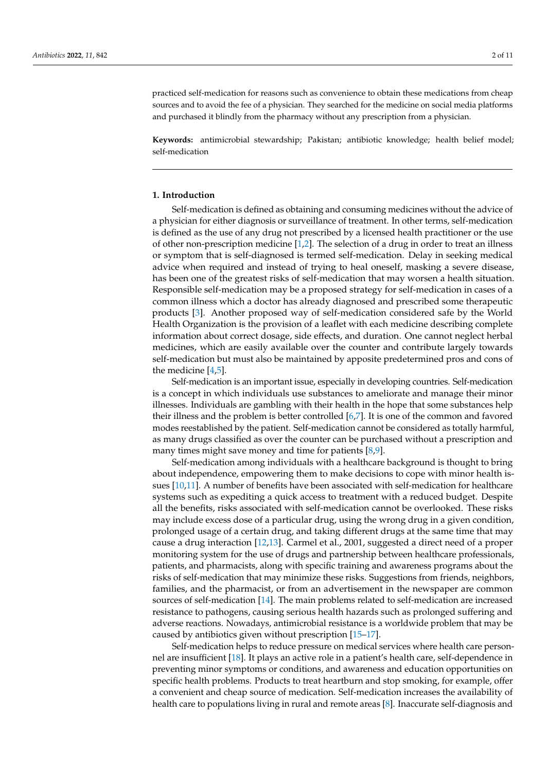practiced self-medication for reasons such as convenience to obtain these medications from cheap sources and to avoid the fee of a physician. They searched for the medicine on social media platforms and purchased it blindly from the pharmacy without any prescription from a physician.

**Keywords:** antimicrobial stewardship; Pakistan; antibiotic knowledge; health belief model; self-medication

### **1. Introduction**

Self-medication is defined as obtaining and consuming medicines without the advice of a physician for either diagnosis or surveillance of treatment. In other terms, self-medication is defined as the use of any drug not prescribed by a licensed health practitioner or the use of other non-prescription medicine [\[1](#page-9-0)[,2\]](#page-9-1). The selection of a drug in order to treat an illness or symptom that is self-diagnosed is termed self-medication. Delay in seeking medical advice when required and instead of trying to heal oneself, masking a severe disease, has been one of the greatest risks of self-medication that may worsen a health situation. Responsible self-medication may be a proposed strategy for self-medication in cases of a common illness which a doctor has already diagnosed and prescribed some therapeutic products [\[3\]](#page-9-2). Another proposed way of self-medication considered safe by the World Health Organization is the provision of a leaflet with each medicine describing complete information about correct dosage, side effects, and duration. One cannot neglect herbal medicines, which are easily available over the counter and contribute largely towards self-medication but must also be maintained by apposite predetermined pros and cons of the medicine  $[4,5]$  $[4,5]$ .

Self-medication is an important issue, especially in developing countries. Self-medication is a concept in which individuals use substances to ameliorate and manage their minor illnesses. Individuals are gambling with their health in the hope that some substances help their illness and the problem is better controlled [\[6,](#page-9-5)[7\]](#page-9-6). It is one of the common and favored modes reestablished by the patient. Self-medication cannot be considered as totally harmful, as many drugs classified as over the counter can be purchased without a prescription and many times might save money and time for patients  $[8,9]$  $[8,9]$ .

Self-medication among individuals with a healthcare background is thought to bring about independence, empowering them to make decisions to cope with minor health issues [\[10](#page-9-9)[,11\]](#page-9-10). A number of benefits have been associated with self-medication for healthcare systems such as expediting a quick access to treatment with a reduced budget. Despite all the benefits, risks associated with self-medication cannot be overlooked. These risks may include excess dose of a particular drug, using the wrong drug in a given condition, prolonged usage of a certain drug, and taking different drugs at the same time that may cause a drug interaction [\[12](#page-9-11)[,13\]](#page-9-12). Carmel et al., 2001, suggested a direct need of a proper monitoring system for the use of drugs and partnership between healthcare professionals, patients, and pharmacists, along with specific training and awareness programs about the risks of self-medication that may minimize these risks. Suggestions from friends, neighbors, families, and the pharmacist, or from an advertisement in the newspaper are common sources of self-medication [\[14\]](#page-9-13). The main problems related to self-medication are increased resistance to pathogens, causing serious health hazards such as prolonged suffering and adverse reactions. Nowadays, antimicrobial resistance is a worldwide problem that may be caused by antibiotics given without prescription [\[15–](#page-9-14)[17\]](#page-9-15).

Self-medication helps to reduce pressure on medical services where health care personnel are insufficient [\[18\]](#page-9-16). It plays an active role in a patient's health care, self-dependence in preventing minor symptoms or conditions, and awareness and education opportunities on specific health problems. Products to treat heartburn and stop smoking, for example, offer a convenient and cheap source of medication. Self-medication increases the availability of health care to populations living in rural and remote areas [\[8\]](#page-9-7). Inaccurate self-diagnosis and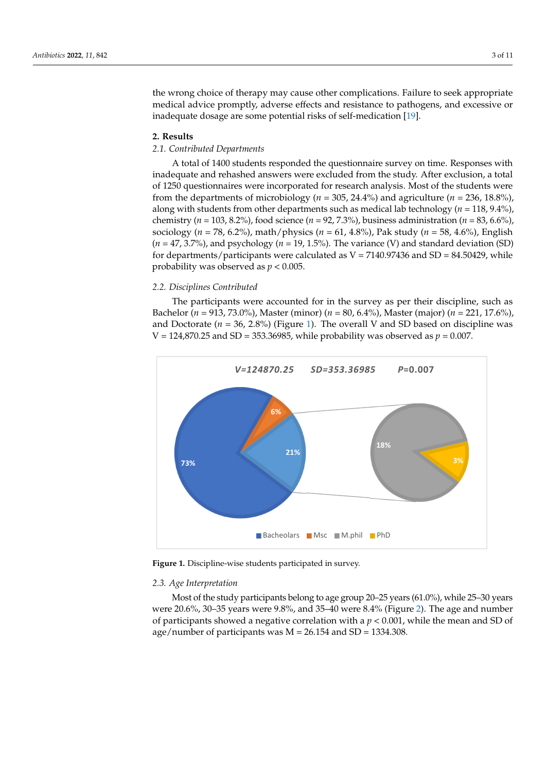the wrong choice of therapy may cause other complications. Failure to seek appropriate medical advice promptly, adverse effects and resistance to pathogens, and excessive or medical advice promptly, adverse effects and resistance to pathogens, and excessive or medical davice promptly, davelet effects and resistance to paint general excessive inadequate dosage are some potential risks of self-medication [\[19\]](#page-9-17).

# **2. Results 2. Results**

## *2.1. Contributed Departments 2.1. Contributed Departments*

A total of 1400 students responded the questionnaire survey on time. Responses with A total of 1400 students responded the questionnaire survey on time. Responses with inadequate and rehashed answers were excluded from the study. After exclusion, a total inadequate and rehashed answers were excluded from the study. After exclusion, a total of 1250 questionnaires were incorporated for research analysis. Most of the students were of 1250 questionnaires were incorporated for research analysis. Most of the students were from the departments of microbiology (*n =* 305, 24.4%) and agriculture (*n =* 236, 18.8%), from the departments of microbiology (*n =* 305, 24.4%) and agriculture (*n =* 236, 18.8%), along with students from other departments such as medical lab technology (*n =* 118, 9.4%), along with students from other departments such as medical lab technology (*n =* 118, chemistry ( $n = 103, 8.2\%$ ), food science ( $n = 92, 7.3\%$ ), business administration ( $n = 83, 6.6\%$ ), sociology (*n* = 78, 6.2%), math/physics (*n* = 61, 4.8%), Pak study (*n* = 58, 4.6%), English  $(n = 47, 3.7%)$ , and psychology  $(n = 19, 1.5%)$ . The variance (V) and standard deviation (SD) for departments/participants were calculated as V = 7140.97436 and SD = 84.50429, while probability was observed as  $p < 0.005$ .

# *2.2. Disciplines Contributed 2.2. Disciplines Contributed*

The participants were accounted for in the survey as per their discipline, such as The participants were accounted for in the survey as per their discipline, such as Bachelor (*n =* 913, 73.0%), Master (minor) (*n =* 80, 6.4%), Master (major) (*n =* 221, 17.6%), Bachelor (*n =* 913, 73.0%), Master (minor) (*n =* 80, 6.4%), Master (major) (*n =* 221, 17.6%), and Doctorate (*n* = 36, 2.8%) (Figure [1\)](#page-2-0). The overall V and SD based on discipline was V = 2.8% (Figure 1). The overall V and SD based on discipline was  $V = 124,870.25$  and  $SD = 353.36985$ , while probability was observed as  $p = 0.007$ .

<span id="page-2-0"></span>

**Figure 1.** Discipline-wise students participated in survey. **Figure 1.** Discipline-wise students participated in survey.

### *2.3. Age Interpretation 2.3. Age Interpretation*

Most of the study participants belong to age group 20–25 years (61.0%), while 25–30 Most of the study participants belong to age group 20–25 years (61.0%), while 25–30 years were 20.6%, 30–35 years were 9.8%, and 35–40 were 8.4[% \(](#page-3-0)Figure 2). The age and number of participants showed a negative correlation with a  $p < 0.001$ , while the mean and SD of age/number of participants was M = 26.154 and SD = 1334.308.  $\,$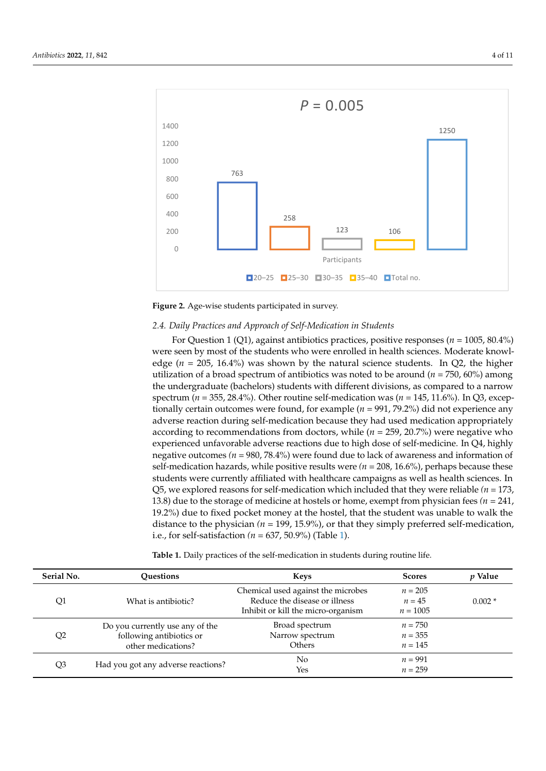<span id="page-3-0"></span>



# *2.4. Daily Practices and Approach of Self-Medication in Students 2.4. Daily Practices and Approach of Self-Medication in Students*

For Question 1 (Q1), against antibiotics practices, positive responses (*n* = 1005, 80.4%) For Question 1 (Q1), against antibiotics practices, positive responses (*n* = 1005, 80.4%) were seen by most of the students who were enrolled in health sciences. Moderate were seen by most of the students who were enrolled in health sciences. Moderate knowledge (*n* = 205, 16.4%) was shown by the natural science students. In Q2, the higher utilization of a broad spectrum of antibiotics was noted to be around (*n* = 750, 60%) among utilization of a broad spectrum of antibiotics was noted to be around (*n* = 750, 60%) among the undergraduate (bachelors) students with different divisions, as compared to a narrow the undergraduate (bachelors) students with different divisions, as compared to a narrow spectrum (*n* = 355, 28.4%). Other routine self-medication was (*n* = 145, 11.6%). In Q3, exceptionally certain outcomes were found, for example (*n* = 991, 79.2%) did not experience any adverse reaction during self-medication because they had used medication appropriately according to recommendations from doctors, while (*n* = 259, 20.7%) were negative who experienced unfavorable adverse reactions due to high dose of self-medicine. In Q4, highly negative outcomes *(n* = 980, 78.4%) were found due to lack of awareness and information of self-medication hazards, while positive results were  $(n = 208, 16.6\%)$ , perhaps because these students were currently affiliated with healthcare campaigns as well as health sciences. In Q5, we explored reasons for self-medication which included that they were reliable  $(n = 173)$ 13.8) due to the storage of medicine at hostels or home, exempt from physician fees (*n* = 241, physician fees *(n =* 241, 19.2%) due to fixed pocket money at the hostel, that the student 19.2%) due to fixed pocket money at the hostel, that the student was unable to walk the distance to the physician *(n* = 199, 15.9%), or that they simply preferred self-medication, preferred self-medication, i.e., for self-satisfaction *(n =* 637, 50.9%) (Table 1). i.e., for self-satisfaction *(n =* 637, 50.9%) (Table [1\)](#page-3-1).

| Q1             | What is antibiotic?                                                               | Chemical used against the microbes                                  | $n = 205$                           |          |
|----------------|-----------------------------------------------------------------------------------|---------------------------------------------------------------------|-------------------------------------|----------|
|                |                                                                                   | Reduce the disease or illness<br>Inhibit or kill the micro-organism | $n = 45$<br>$n = 1005$              | $0.002*$ |
| Q <sub>2</sub> | Do you currently use any of the<br>following antibiotics or<br>other medications? | Broad spectrum<br>Narrow spectrum<br>Others                         | $n = 750$<br>$n = 355$<br>$n = 145$ |          |
| Q3             | Had you got any adverse reactions?                                                | No.<br>Yes                                                          | $n = 991$<br>$n = 259$              |          |

<span id="page-3-1"></span>**Table 1.** Daily practices of the self-medication in students during routine life. **Table 1.** Daily practices of the self-medication in students during routine life.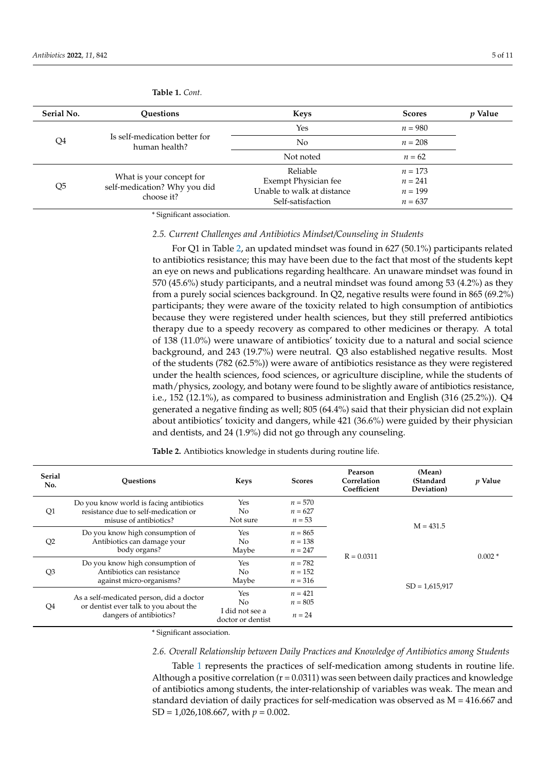| Serial No. | <b>Ouestions</b>                                                       | <b>Keys</b>                | <b>Scores</b> | <i>p</i> Value |
|------------|------------------------------------------------------------------------|----------------------------|---------------|----------------|
| Q4         | Is self-medication better for<br>human health?                         | Yes                        | $n = 980$     |                |
|            |                                                                        | No                         | $n = 208$     |                |
|            |                                                                        | Not noted                  | $n = 62$      |                |
| Q5         | What is your concept for<br>self-medication? Why you did<br>choose it? | Reliable                   | $n = 173$     |                |
|            |                                                                        | Exempt Physician fee       | $n = 241$     |                |
|            |                                                                        | Unable to walk at distance | $n = 199$     |                |
|            |                                                                        | Self-satisfaction          | $n = 637$     |                |

**Table 1.** *Cont.*

\* Significant association.

### *2.5. Current Challenges and Antibiotics Mindset/Counseling in Students*

For Q1 in Table [2,](#page-4-0) an updated mindset was found in 627 (50.1%) participants related to antibiotics resistance; this may have been due to the fact that most of the students kept an eye on news and publications regarding healthcare. An unaware mindset was found in 570 (45.6%) study participants, and a neutral mindset was found among 53 (4.2%) as they from a purely social sciences background. In Q2, negative results were found in 865 (69.2%) participants; they were aware of the toxicity related to high consumption of antibiotics because they were registered under health sciences, but they still preferred antibiotics therapy due to a speedy recovery as compared to other medicines or therapy. A total of 138 (11.0%) were unaware of antibiotics' toxicity due to a natural and social science background, and 243 (19.7%) were neutral. Q3 also established negative results. Most of the students (782 (62.5%)) were aware of antibiotics resistance as they were registered under the health sciences, food sciences, or agriculture discipline, while the students of math/physics, zoology, and botany were found to be slightly aware of antibiotics resistance, i.e., 152 (12.1%), as compared to business administration and English (316 (25.2%)). Q4 generated a negative finding as well; 805 (64.4%) said that their physician did not explain about antibiotics' toxicity and dangers, while 421 (36.6%) were guided by their physician and dentists, and 24 (1.9%) did not go through any counseling.

| <b>Serial</b><br>No. | <b>Ouestions</b>                                                                                             | <b>Keys</b>                                       | <b>Scores</b>                       | Pearson<br>Correlation<br>Coefficient | (Mean)<br>(Standard<br>Deviation) | <i>p</i> Value |
|----------------------|--------------------------------------------------------------------------------------------------------------|---------------------------------------------------|-------------------------------------|---------------------------------------|-----------------------------------|----------------|
| Q1                   | Do you know world is facing antibiotics<br>resistance due to self-medication or<br>misuse of antibiotics?    | Yes<br>No<br>Not sure                             | $n = 570$<br>$n = 627$<br>$n = 53$  | $R = 0.0311$                          | $M = 431.5$                       |                |
| Q2                   | Do you know high consumption of<br>Antibiotics can damage your<br>body organs?                               | Yes<br>N <sub>o</sub><br>Maybe                    | $n = 865$<br>$n = 138$<br>$n = 247$ |                                       |                                   | $0.002*$       |
| Q <sub>3</sub>       | Do you know high consumption of<br>Antibiotics can resistance<br>against micro-organisms?                    | <b>Yes</b><br>No.<br>Maybe                        | $n = 782$<br>$n = 152$<br>$n = 316$ |                                       | $SD = 1,615,917$                  |                |
| Q4                   | As a self-medicated person, did a doctor<br>or dentist ever talk to you about the<br>dangers of antibiotics? | Yes<br>No<br>I did not see a<br>doctor or dentist | $n = 421$<br>$n = 805$<br>$n = 24$  |                                       |                                   |                |

<span id="page-4-0"></span>**Table 2.** Antibiotics knowledge in students during routine life.

\* Significant association.

### *2.6. Overall Relationship between Daily Practices and Knowledge of Antibiotics among Students*

Table [1](#page-3-1) represents the practices of self-medication among students in routine life. Although a positive correlation ( $r = 0.0311$ ) was seen between daily practices and knowledge of antibiotics among students, the inter-relationship of variables was weak. The mean and standard deviation of daily practices for self-medication was observed as M = 416.667 and SD = 1,026,108.667, with *p* = 0.002.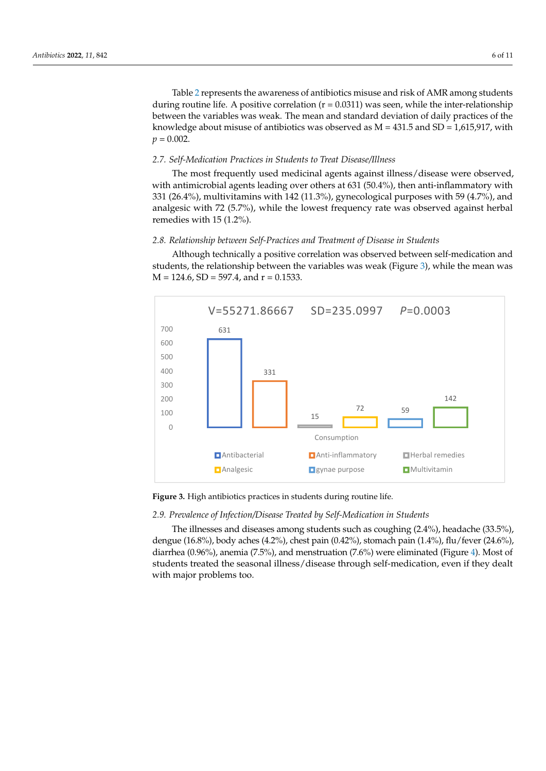Tabl[e 2](#page-4-0) represents the awareness of antibiotics misuse and risk of AMR among students during routine life. A positive correlation  $(r = 0.0311)$  was seen, while the inter-relationship between the variables was weak. The mean and standard deviation of daily practices of the knowledge about misuse of antibiotics was observed as  $M = 431.5$  and SD = 1,615,917, with  $p = 0.002$ .

### *2.7. Self-Medication Practices in Students to Treat Disease/Illness 2.7. Self-Medication Practices in Students to Treat Disease/Illness*

The most frequently used medicinal agents against illness/disease were observed, The most frequently used medicinal agents against illness/disease were observed, with antimicrobial agents leading over others at 631 (50.4%), then anti-inflammatory with with antimicrobial agents leading over others at 631 (50.4%), then anti-inflammatory with 331 (26.4%), multivitamins with 142 (11.3%), gynecological purposes with 59 (4.7%), and 331 (26.4%), multivitamins with 142 (11.3%), gynecological purposes with 59 (4.7%), and analgesic with 72 (5.7%), while the lowest frequency rate was observed against herbal analgesic with 72 (5.7%), while the lowest frequency rate was observed against herbal remedies with 15 (1.2%). remedies with 15 (1.2%).

# *2.8. Relationship between Self-Practices and Treatment of Disease in Students 2.8. Relationship between Self-Practices and Treatment of Disease in Students*

Although technically a positive correlation was observed between self-medication and Although technically a positive correlation was observed between self-medication students, the relationship between the variables was weak (Fi[gur](#page-5-0)e 3), while the mean was  $M = 124.6$ , SD = 597.4, and r = 0.1533.

<span id="page-5-0"></span>

**Figure 3.** High antibiotics practices in students during routine life. **Figure 3.** High antibiotics practices in students during routine life.

# *2.9. Prevalence of Infection/Disease Treated by Self-Medication in Students 2.9. Prevalence of Infection/Disease Treated by Self-Medication in Students*

The illnesses and diseases among students such as coughing (2.4%), headache The illnesses and diseases among students such as coughing (2.4%), headache (33.5%), (33.5%), dengue (16.8%), body aches (4.2%), chest pain (0.42%), stomach pain (1.4%), dengue (16.8%), body aches (4.2%), chest pain (0.42%), stomach pain (1.4%), flu/fever (24.6%), diarrhea (0.96%), anemia (7.5%), and menstruation (7.6%) w[er](#page-6-0)e eliminated (Figure 4). Most of students treated the seasonal illness/disease through self-medication, even if they dealt with major problems too.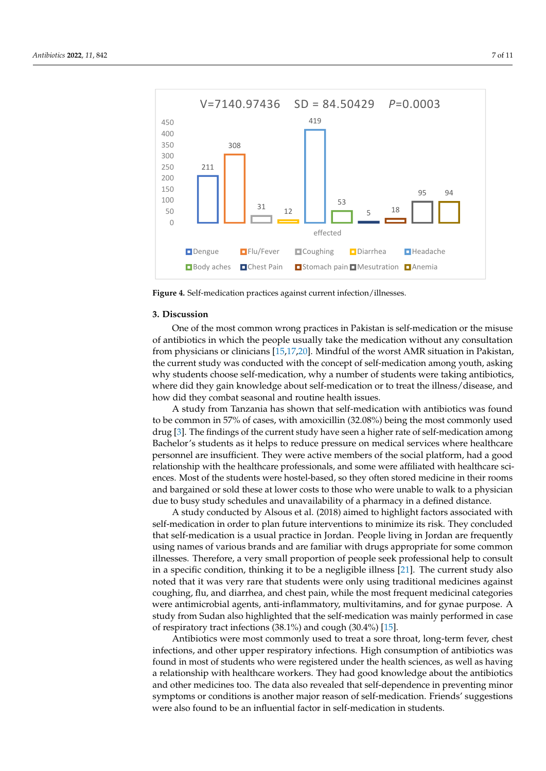<span id="page-6-0"></span>

**Figure 4.** Self-medication practices against current infection/illnesses. **Figure 4.** Self-medication practices against current infection/illnesses.

### **3. Discussion 3. Discussion**

One of the most common wrong practices in Pakistan is self-medication or the misuse of antibiotics in which the people usually take the medication without any consultation of antibiotics in which the people usually take the medication without any consultation from physicians or clinicians [\[15](#page-9-14)[,17](#page-9-15)[,20](#page-9-18)]. Mindful of the worst AMR situation in Pakistan, from physicians or clinicians [15,17,20]. Mindful of the worst AMR situation in Pakistan, the current study was conducted with the concept of self-medication among youth, asking the current study was conducted with the concept of self-medication among youth, asking why students choose self-medication, why a number of students were taking antibiotics, why students choose self-medication, why a number of students were taking antibiotics, where did they gain knowledge about self-medication or to treat the illness/disease, and where did they gain knowledge about self-medication or to treat the illness/disease, and how did they combat seasonal and routine health issues. how did they combat seasonal and routine health issues.

A study from Tanzania has shown that self-medication with antibiotics was found to be common in 57% of cases, with amoxicillin (32.08%) being the most commonly used drug [3]. The findings of the current study have seen a higher rate of self-medication drug [\[3\]](#page-9-2). The findings of the current study have seen a higher rate of self-medication among Bachelor's students as it helps to reduce pressure on medical services where healthcare personnel are insufficient. They were active members of the social platform, had a good relationship with the healthcare professionals, and some were affiliated with healthcare sciences. Most of the students were hostel-based, so they often stored medicine in their rooms and bargained or sold these at lower costs to those who were unable to walk to a physician due to busy study schedules and unavailability of a pharmacy in a defined distance.

A study conducted by Alsous et al. (2018) aimed to highlight factors associated with self-medication in order to plan future interventions to minimize its risk. They concluded that self-medication is a usual practice in Jordan. People living in Jordan are frequently using names of various brands and are familiar with drugs appropriate for some common<br>… illnesses. Therefore, a very small proportion of people seek professional help to consult<br>illnesses. Therefore, a very small proportion of people seek professional help to consult in a specific condition, thinking it to be a negligible illness [\[21\]](#page-10-0). The current study also noted that it was very rare that students were only using traditional medicines against coughing, flu, and diarrhea, and chest pain, while the most frequent medicinal categories coughing, flu, and diarrhea, and chest pain, while the most frequent medicinal categories were antimicrobial agents, anti-inflammatory, multivitamins, and for gynae purpose. A<br>which from Gustavidae highlichted that the village liesting groups were because were antistudy from Sudan also highlighted that the self-medication was mainly performed in case.<br>sf userinstam: hast infastions (28.1%) and sough (20.4%) [15]. of respiratory tract infections (38.1%) and cough (30.4%) [\[15\]](#page-9-14).

Antibiotics were most commonly used to treat a sore throat, long-term fever, chest Inductive were most commonly abed to treat a sore anotaly long term revery enestineering infections, and other upper respiratory infections. High consumption of antibiotics was Antibiotics, and state up per responsively interated in given the line term of understate was<br>found in most of students who were registered under the health sciences, as well as having Found in these of statistics who were registered under the neutral sciences, as were as rativing<br>a relationship with healthcare workers. They had good knowledge about the antibiotics and other medicines too. The data also revealed that self-dependence in preventing minor and once included with healthcare workers. They had good knowledge about the processing summer symptoms or conditions is another major reason of self-medication. Friends' suggestions were also found to be an influential factor in self-medication in students.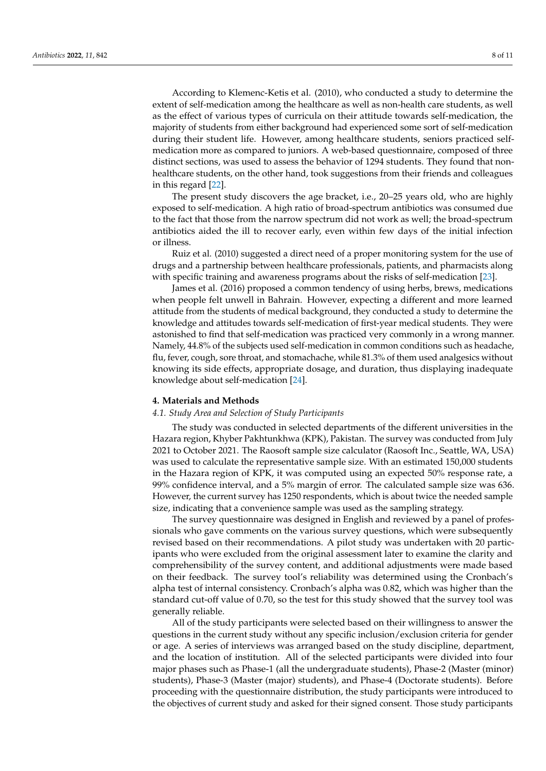According to Klemenc-Ketis et al. (2010), who conducted a study to determine the extent of self-medication among the healthcare as well as non-health care students, as well as the effect of various types of curricula on their attitude towards self-medication, the majority of students from either background had experienced some sort of self-medication during their student life. However, among healthcare students, seniors practiced selfmedication more as compared to juniors. A web-based questionnaire, composed of three distinct sections, was used to assess the behavior of 1294 students. They found that nonhealthcare students, on the other hand, took suggestions from their friends and colleagues in this regard [\[22\]](#page-10-1).

The present study discovers the age bracket, i.e., 20–25 years old, who are highly exposed to self-medication. A high ratio of broad-spectrum antibiotics was consumed due to the fact that those from the narrow spectrum did not work as well; the broad-spectrum antibiotics aided the ill to recover early, even within few days of the initial infection or illness.

Ruiz et al. (2010) suggested a direct need of a proper monitoring system for the use of drugs and a partnership between healthcare professionals, patients, and pharmacists along with specific training and awareness programs about the risks of self-medication [\[23\]](#page-10-2).

James et al. (2016) proposed a common tendency of using herbs, brews, medications when people felt unwell in Bahrain. However, expecting a different and more learned attitude from the students of medical background, they conducted a study to determine the knowledge and attitudes towards self-medication of first-year medical students. They were astonished to find that self-medication was practiced very commonly in a wrong manner. Namely, 44.8% of the subjects used self-medication in common conditions such as headache, flu, fever, cough, sore throat, and stomachache, while 81.3% of them used analgesics without knowing its side effects, appropriate dosage, and duration, thus displaying inadequate knowledge about self-medication [\[24\]](#page-10-3).

### **4. Materials and Methods**

#### *4.1. Study Area and Selection of Study Participants*

The study was conducted in selected departments of the different universities in the Hazara region, Khyber Pakhtunkhwa (KPK), Pakistan. The survey was conducted from July 2021 to October 2021. The Raosoft sample size calculator (Raosoft Inc., Seattle, WA, USA) was used to calculate the representative sample size. With an estimated 150,000 students in the Hazara region of KPK, it was computed using an expected 50% response rate, a 99% confidence interval, and a 5% margin of error. The calculated sample size was 636. However, the current survey has 1250 respondents, which is about twice the needed sample size, indicating that a convenience sample was used as the sampling strategy.

The survey questionnaire was designed in English and reviewed by a panel of professionals who gave comments on the various survey questions, which were subsequently revised based on their recommendations. A pilot study was undertaken with 20 participants who were excluded from the original assessment later to examine the clarity and comprehensibility of the survey content, and additional adjustments were made based on their feedback. The survey tool's reliability was determined using the Cronbach's alpha test of internal consistency. Cronbach's alpha was 0.82, which was higher than the standard cut-off value of 0.70, so the test for this study showed that the survey tool was generally reliable.

All of the study participants were selected based on their willingness to answer the questions in the current study without any specific inclusion/exclusion criteria for gender or age. A series of interviews was arranged based on the study discipline, department, and the location of institution. All of the selected participants were divided into four major phases such as Phase-1 (all the undergraduate students), Phase-2 (Master (minor) students), Phase-3 (Master (major) students), and Phase-4 (Doctorate students). Before proceeding with the questionnaire distribution, the study participants were introduced to the objectives of current study and asked for their signed consent. Those study participants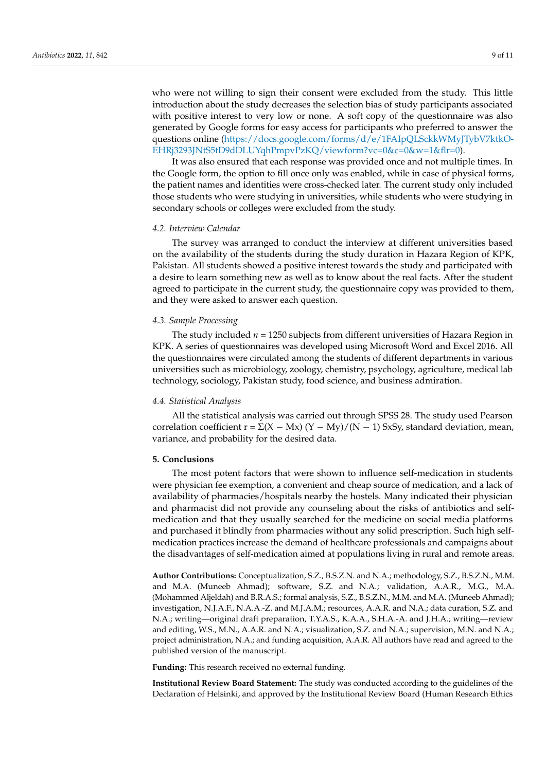who were not willing to sign their consent were excluded from the study. This little introduction about the study decreases the selection bias of study participants associated with positive interest to very low or none. A soft copy of the questionnaire was also generated by Google forms for easy access for participants who preferred to answer the questions online [\(https://docs.google.com/forms/d/e/1FAIpQLSckkWMyJTybV7ktkO-](https://docs.google.com/forms/d/e/1FAIpQLSckkWMyJTybV7ktkO-EHRj3293JNtS5tD9dDLUYqhPmpvPzKQ/viewform?vc=0&c=0&w=1&flr=0)[EHRj3293JNtS5tD9dDLUYqhPmpvPzKQ/viewform?vc=0&c=0&w=1&flr=0\)](https://docs.google.com/forms/d/e/1FAIpQLSckkWMyJTybV7ktkO-EHRj3293JNtS5tD9dDLUYqhPmpvPzKQ/viewform?vc=0&c=0&w=1&flr=0).

It was also ensured that each response was provided once and not multiple times. In the Google form, the option to fill once only was enabled, while in case of physical forms, the patient names and identities were cross-checked later. The current study only included those students who were studying in universities, while students who were studying in secondary schools or colleges were excluded from the study.

### *4.2. Interview Calendar*

The survey was arranged to conduct the interview at different universities based on the availability of the students during the study duration in Hazara Region of KPK, Pakistan. All students showed a positive interest towards the study and participated with a desire to learn something new as well as to know about the real facts. After the student agreed to participate in the current study, the questionnaire copy was provided to them, and they were asked to answer each question.

### *4.3. Sample Processing*

The study included *n* = 1250 subjects from different universities of Hazara Region in KPK. A series of questionnaires was developed using Microsoft Word and Excel 2016. All the questionnaires were circulated among the students of different departments in various universities such as microbiology, zoology, chemistry, psychology, agriculture, medical lab technology, sociology, Pakistan study, food science, and business admiration.

### *4.4. Statistical Analysis*

All the statistical analysis was carried out through SPSS 28. The study used Pearson correlation coefficient r =  $\Sigma(X - Mx) (Y - My)/(N - 1)$  SxSy, standard deviation, mean, variance, and probability for the desired data.

### **5. Conclusions**

The most potent factors that were shown to influence self-medication in students were physician fee exemption, a convenient and cheap source of medication, and a lack of availability of pharmacies/hospitals nearby the hostels. Many indicated their physician and pharmacist did not provide any counseling about the risks of antibiotics and selfmedication and that they usually searched for the medicine on social media platforms and purchased it blindly from pharmacies without any solid prescription. Such high selfmedication practices increase the demand of healthcare professionals and campaigns about the disadvantages of self-medication aimed at populations living in rural and remote areas.

**Author Contributions:** Conceptualization, S.Z., B.S.Z.N. and N.A.; methodology, S.Z., B.S.Z.N., M.M. and M.A. (Muneeb Ahmad); software, S.Z. and N.A.; validation, A.A.R., M.G., M.A. (Mohammed Aljeldah) and B.R.A.S.; formal analysis, S.Z., B.S.Z.N., M.M. and M.A. (Muneeb Ahmad); investigation, N.J.A.F., N.A.A.-Z. and M.J.A.M.; resources, A.A.R. and N.A.; data curation, S.Z. and N.A.; writing—original draft preparation, T.Y.A.S., K.A.A., S.H.A.-A. and J.H.A.; writing—review and editing, W.S., M.N., A.A.R. and N.A.; visualization, S.Z. and N.A.; supervision, M.N. and N.A.; project administration, N.A.; and funding acquisition, A.A.R. All authors have read and agreed to the published version of the manuscript.

**Funding:** This research received no external funding.

**Institutional Review Board Statement:** The study was conducted according to the guidelines of the Declaration of Helsinki, and approved by the Institutional Review Board (Human Research Ethics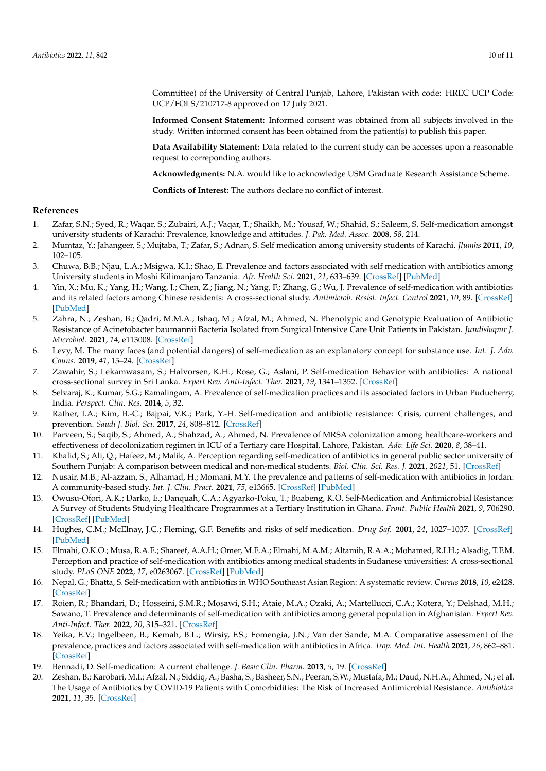Committee) of the University of Central Punjab, Lahore, Pakistan with code: HREC UCP Code: UCP/FOLS/210717-8 approved on 17 July 2021.

**Informed Consent Statement:** Informed consent was obtained from all subjects involved in the study. Written informed consent has been obtained from the patient(s) to publish this paper.

**Data Availability Statement:** Data related to the current study can be accesses upon a reasonable request to correponding authors.

**Acknowledgments:** N.A. would like to acknowledge USM Graduate Research Assistance Scheme.

**Conflicts of Interest:** The authors declare no conflict of interest.

### **References**

- <span id="page-9-0"></span>1. Zafar, S.N.; Syed, R.; Waqar, S.; Zubairi, A.J.; Vaqar, T.; Shaikh, M.; Yousaf, W.; Shahid, S.; Saleem, S. Self-medication amongst university students of Karachi: Prevalence, knowledge and attitudes. *J. Pak. Med. Assoc.* **2008**, *58*, 214.
- <span id="page-9-1"></span>2. Mumtaz, Y.; Jahangeer, S.; Mujtaba, T.; Zafar, S.; Adnan, S. Self medication among university students of Karachi. *Jlumhs* **2011**, *10*, 102–105.
- <span id="page-9-2"></span>3. Chuwa, B.B.; Njau, L.A.; Msigwa, K.I.; Shao, E. Prevalence and factors associated with self medication with antibiotics among University students in Moshi Kilimanjaro Tanzania. *Afr. Health Sci.* **2021**, *21*, 633–639. [\[CrossRef\]](http://doi.org/10.4314/ahs.v21i2.19) [\[PubMed\]](http://www.ncbi.nlm.nih.gov/pubmed/34795717)
- <span id="page-9-3"></span>4. Yin, X.; Mu, K.; Yang, H.; Wang, J.; Chen, Z.; Jiang, N.; Yang, F.; Zhang, G.; Wu, J. Prevalence of self-medication with antibiotics and its related factors among Chinese residents: A cross-sectional study. *Antimicrob. Resist. Infect. Control* **2021**, *10*, 89. [\[CrossRef\]](http://doi.org/10.1186/s13756-021-00954-3) [\[PubMed\]](http://www.ncbi.nlm.nih.gov/pubmed/34090536)
- <span id="page-9-4"></span>5. Zahra, N.; Zeshan, B.; Qadri, M.M.A.; Ishaq, M.; Afzal, M.; Ahmed, N. Phenotypic and Genotypic Evaluation of Antibiotic Resistance of Acinetobacter baumannii Bacteria Isolated from Surgical Intensive Care Unit Patients in Pakistan. *Jundishapur J. Microbiol.* **2021**, *14*, e113008. [\[CrossRef\]](http://doi.org/10.5812/jjm.113008)
- <span id="page-9-5"></span>6. Levy, M. The many faces (and potential dangers) of self-medication as an explanatory concept for substance use. *Int. J. Adv. Couns.* **2019**, *41*, 15–24. [\[CrossRef\]](http://doi.org/10.1007/s10447-018-9341-3)
- <span id="page-9-6"></span>7. Zawahir, S.; Lekamwasam, S.; Halvorsen, K.H.; Rose, G.; Aslani, P. Self-medication Behavior with antibiotics: A national cross-sectional survey in Sri Lanka. *Expert Rev. Anti-Infect. Ther.* **2021**, *19*, 1341–1352. [\[CrossRef\]](http://doi.org/10.1080/14787210.2021.1911647)
- <span id="page-9-7"></span>8. Selvaraj, K.; Kumar, S.G.; Ramalingam, A. Prevalence of self-medication practices and its associated factors in Urban Puducherry, India. *Perspect. Clin. Res.* **2014**, *5*, 32.
- <span id="page-9-8"></span>9. Rather, I.A.; Kim, B.-C.; Bajpai, V.K.; Park, Y.-H. Self-medication and antibiotic resistance: Crisis, current challenges, and prevention. *Saudi J. Biol. Sci.* **2017**, *24*, 808–812. [\[CrossRef\]](http://doi.org/10.1016/j.sjbs.2017.01.004)
- <span id="page-9-9"></span>10. Parveen, S.; Saqib, S.; Ahmed, A.; Shahzad, A.; Ahmed, N. Prevalence of MRSA colonization among healthcare-workers and effectiveness of decolonization regimen in ICU of a Tertiary care Hospital, Lahore, Pakistan. *Adv. Life Sci.* **2020**, *8*, 38–41.
- <span id="page-9-10"></span>11. Khalid, S.; Ali, Q.; Hafeez, M.; Malik, A. Perception regarding self-medication of antibiotics in general public sector university of Southern Punjab: A comparison between medical and non-medical students. *Biol. Clin. Sci. Res. J.* **2021**, *2021*, 51. [\[CrossRef\]](http://doi.org/10.54112/bcsrj.v2021i1.51)
- <span id="page-9-11"></span>12. Nusair, M.B.; Al-azzam, S.; Alhamad, H.; Momani, M.Y. The prevalence and patterns of self-medication with antibiotics in Jordan: A community-based study. *Int. J. Clin. Pract.* **2021**, *75*, e13665. [\[CrossRef\]](http://doi.org/10.1111/ijcp.13665) [\[PubMed\]](http://www.ncbi.nlm.nih.gov/pubmed/32772449)
- <span id="page-9-12"></span>13. Owusu-Ofori, A.K.; Darko, E.; Danquah, C.A.; Agyarko-Poku, T.; Buabeng, K.O. Self-Medication and Antimicrobial Resistance: A Survey of Students Studying Healthcare Programmes at a Tertiary Institution in Ghana. *Front. Public Health* **2021**, *9*, 706290. [\[CrossRef\]](http://doi.org/10.3389/fpubh.2021.706290) [\[PubMed\]](http://www.ncbi.nlm.nih.gov/pubmed/34692620)
- <span id="page-9-13"></span>14. Hughes, C.M.; McElnay, J.C.; Fleming, G.F. Benefits and risks of self medication. *Drug Saf.* **2001**, *24*, 1027–1037. [\[CrossRef\]](http://doi.org/10.2165/00002018-200124140-00002) [\[PubMed\]](http://www.ncbi.nlm.nih.gov/pubmed/11735659)
- <span id="page-9-14"></span>15. Elmahi, O.K.O.; Musa, R.A.E.; Shareef, A.A.H.; Omer, M.E.A.; Elmahi, M.A.M.; Altamih, R.A.A.; Mohamed, R.I.H.; Alsadig, T.F.M. Perception and practice of self-medication with antibiotics among medical students in Sudanese universities: A cross-sectional study. *PLoS ONE* **2022**, *17*, e0263067. [\[CrossRef\]](http://doi.org/10.1371/journal.pone.0263067) [\[PubMed\]](http://www.ncbi.nlm.nih.gov/pubmed/35081149)
- 16. Nepal, G.; Bhatta, S. Self-medication with antibiotics in WHO Southeast Asian Region: A systematic review. *Cureus* **2018**, *10*, e2428. [\[CrossRef\]](http://doi.org/10.7759/cureus.2428)
- <span id="page-9-15"></span>17. Roien, R.; Bhandari, D.; Hosseini, S.M.R.; Mosawi, S.H.; Ataie, M.A.; Ozaki, A.; Martellucci, C.A.; Kotera, Y.; Delshad, M.H.; Sawano, T. Prevalence and determinants of self-medication with antibiotics among general population in Afghanistan. *Expert Rev. Anti-Infect. Ther.* **2022**, *20*, 315–321. [\[CrossRef\]](http://doi.org/10.1080/14787210.2021.1951229)
- <span id="page-9-16"></span>18. Yeika, E.V.; Ingelbeen, B.; Kemah, B.L.; Wirsiy, F.S.; Fomengia, J.N.; Van der Sande, M.A. Comparative assessment of the prevalence, practices and factors associated with self-medication with antibiotics in Africa. *Trop. Med. Int. Health* **2021**, *26*, 862–881. [\[CrossRef\]](http://doi.org/10.1111/tmi.13600)
- <span id="page-9-17"></span>19. Bennadi, D. Self-medication: A current challenge. *J. Basic Clin. Pharm.* **2013**, *5*, 19. [\[CrossRef\]](http://doi.org/10.4103/0976-0105.128253)
- <span id="page-9-18"></span>20. Zeshan, B.; Karobari, M.I.; Afzal, N.; Siddiq, A.; Basha, S.; Basheer, S.N.; Peeran, S.W.; Mustafa, M.; Daud, N.H.A.; Ahmed, N.; et al. The Usage of Antibiotics by COVID-19 Patients with Comorbidities: The Risk of Increased Antimicrobial Resistance. *Antibiotics* **2021**, *11*, 35. [\[CrossRef\]](http://doi.org/10.3390/antibiotics11010035)